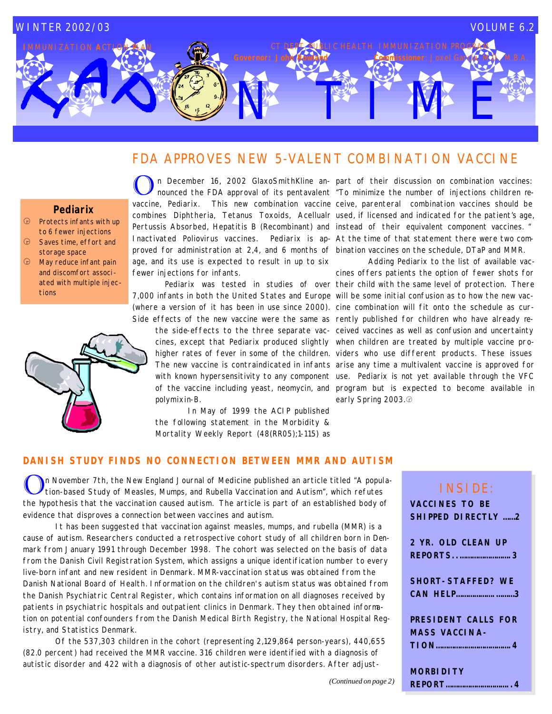# NTETWE WINTER 2002/03 VOLUME 6.2 **IC HEALTH IMMUNIZATION PRO**

# FDA APPROVES NEW 5-VALENT COMBINATION VACCINE

### **Pediarix**

- $\bigoplus$  Protects infants with up to 6 fewer injections
- **a** Saves time, effort and storage space
- $$\bigoplus$  May reduce infant pain$ and discomfort associated with multiple injections



vaccine, Pediarix. This new combination vaccine ceive, parenteral combination vaccines should be combines Diphtheria, Tetanus Toxoids, Acellualr used, if licensed and indicated for the patient's age, Pertussis Absorbed, Hepatitis B (Recombinant) and instead of their equivalent component vaccines. " Inactivated Poliovirus vaccines. Pediarix is ap-At the time of that statement there were two comproved for administration at 2,4, and 6 months of bination vaccines on the schedule, DTaP and MMR. age, and its use is expected to result in up to six fewer injections for infants.

 Pediarix was tested in studies of over their child with the same level of protection. There 7,000 infants in both the United States and Europe will be some initial confusion as to how the new vac-(where a version of it has been in use since 2000). cine combination will fit onto the schedule as cur-

polymixin-B.

 In May of 1999 the ACIP published the following statement in the Morbidity & Mortality Weekly Report (48(RR05);1-115) as

On December 16, 2002 GlaxoSmithKline an- part of their discussion on combination vaccines:<br>nounced the FDA approval of its pentavalent "To minimize the number of injections children ren December 16, 2002 GlaxoSmithKline an- part of their discussion on combination vaccines:

Side effects of the new vaccine were the same as rently published for children who have already rethe side-effects to the three separate vac-ceived vaccines as well as confusion and uncertainty cines, except that Pediarix produced slightly when children are treated by multiple vaccine prohigher rates of fever in some of the children. viders who use different products. These issues The new vaccine is contraindicated in infants arise any time a multivalent vaccine is approved for with known hypersensitivity to any component use. Pediarix is not yet available through the VFC of the vaccine including yeast, neomycin, and program but is expected to become available in Adding Pediarix to the list of available vaccines offers patients the option of fewer shots for early Spring 2003.

### **DANISH STUDY FINDS NO CONNECTION BETWEEN MMR AND AUTISM**

In November 7th, the New England Journal of Medicine published an article titled "A population-based Study of Measles, Mumps, and Rubella Vaccination and Autism", which refutes the hypothesis that the vaccination caused autism. The article is part of an established body of evidence that disproves a connection between vaccines and autism.

 It has been suggested that vaccination against measles, mumps, and rubella (MMR) is a cause of autism. Researchers conducted a retrospective cohort study of all children born in Denmark from January 1991 through December 1998. The cohort was selected on the basis of data from the Danish Civil Registration System, which assigns a unique identification number to every live-born infant and new resident in Denmark. MMR-vaccination status was obtained from the Danish National Board of Health. Information on the children's autism status was obtained from the Danish Psychiatric Central Register, which contains information on all diagnoses received by patients in psychiatric hospitals and outpatient clinics in Denmark. They then obtained information on potential confounders from the Danish Medical Birth Registry, the National Hospital Registry, and Statistics Denmark.

 Of the 537,303 children in the cohort (representing 2,129,864 person-years), 440,655 (82.0 percent) had received the MMR vaccine. 316 children were identified with a diagnosis of autistic disorder and 422 with a diagnosis of other autistic-spectrum disorders. After adjust-

# INSIDE: **VACCINES TO BE SHIPPED DIRECTLY ……2 2 YR. OLD CLEAN UP REPORTS..…………………….3 SHORT-STAFFED? WE CAN HELP……………….………3 PRESIDENT CALLS FOR MASS VACCINA-TION……………………………….4 MORBIDITY**

**REPORT…………………………..4**

*(Continued on page 2)*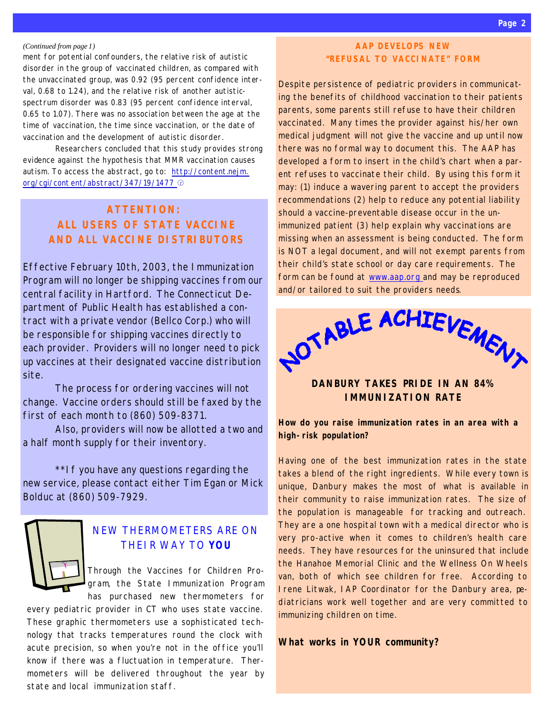#### *(Continued from page 1)*

ment for potential confounders, the relative risk of autistic disorder in the group of vaccinated children, as compared with the unvaccinated group, was 0.92 (95 percent confidence interval, 0.68 to 1.24), and the relative risk of another autisticspectrum disorder was 0.83 (95 percent confidence interval, 0.65 to 1.07). There was no association between the age at the time of vaccination, the time since vaccination, or the date of vaccination and the development of autistic disorder.

 Researchers concluded that this study provides strong evidence against the hypothesis that MMR vaccination causes autism. To access the abstract, go to: http://content.nejm. org/cgi/cont ent/abstract/347/19/1477  $\circledcirc$ 

# **ATTENTION: ALL USERS OF STATE VACCINE AND ALL VACCINE DISTRIBUTORS**

Effective February 10th, 2003, the Immunization Program will no longer be shipping vaccines from our central facility in Hartford. The Connecticut Department of Public Health has established a contract with a private vendor (Bellco Corp.) who will be responsible for shipping vaccines directly to each provider. Providers will no longer need to pick up vaccines at their designated vaccine distribution site.

 The process for ordering vaccines will not change. Vaccine orders should still be faxed by the first of each month to (860) 509-8371.

 Also, providers will now be allotted a two and a half month supply for their inventory.

\*\*If you have any questions regarding the new service, please contact either Tim Egan or Mick Bolduc at (860) 509-7929.



# NEW THERMOMETERS ARE ON THEIR WAY TO **YOU**

Through the *Vaccines for Children Program*, the State Immunization Program has purchased new thermometers for

every pediatric provider in CT who uses state vaccine. These graphic thermometers use a sophisticated technology that tracks temperatures round the clock with acute precision, so when you're not in the office you'll know if there was a fluctuation in temperature. Thermometers will be delivered throughout the year by state and local immunization staff.

### **AAP DEVELOPS NEW "REFUSAL TO VACCINATE" FORM**

Despite persistence of pediatric providers in communicating the benefits of childhood vaccination to their patients parents, some parents still refuse to have their children vaccinated. Many times the provider against his/her own medical judgment will not give the vaccine and up until now there was no formal way to document this. The AAP has developed a form to insert in the child's chart when a parent refuses to vaccinate their child. By using this form it may: (1) induce a wavering parent to accept the providers recommendations (2) help to reduce any potential liability should a vaccine-preventable disease occur in the unimmunized patient (3) help explain why vaccinations are missing when an assessment is being conducted. The form is NOT a legal document, and will not exempt parents from their child's state school or day care requirements. The form can be found at www.aap.org and may be reproduced and/or tailored to suit the providers needs.



### **DANBURY TAKES PRIDE IN AN 84% IMMUNIZATION RATE**

**How do you raise immunization rates in an area with a high-risk population?**

Having one of the best immunization rates in the state takes a blend of the right ingredients. While every town is unique, Danbury makes the most of what is available in their community to raise immunization rates. The size of the population is manageable for tracking and outreach. They are a one hospital town with a medical director who is very pro-active when it comes to children's health care needs. They have resources for the uninsured that include the Hanahoe Memorial Clinic and the Wellness On Wheels van, both of which see children for free. According to Irene Litwak, IAP Coordinator for the Danbury area, pediatricians work well together and are very committed to immunizing children on time.

### **What works in YOUR community?**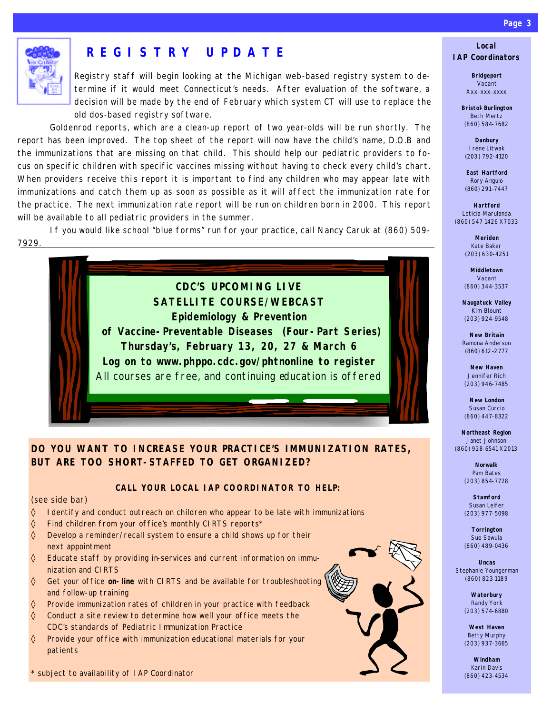

# **REGISTRY UPDATE**

Registry staff will begin looking at the Michigan web-based registry system to determine if it would meet Connecticut's needs. After evaluation of the software, a decision will be made by the end of February which system CT will use to replace the old dos-based registry software.

 Goldenrod reports, which are a clean-up report of two year-olds will be run shortly. The report has been improved. The top sheet of the report will now have the child's name, D.O.B and the immunizations that are missing on that child. This should help our pediatric providers to focus on specific children with specific vaccines missing without having to check every child's chart. When providers receive this report it is important to find any children who may appear late with immunizations and catch them up as soon as possible as it will affect the immunization rate for the practice. The next immunization rate report will be run on children born in 2000. This report will be available to all pediatric providers in the summer.

 If you would like school "blue forms" run for your practice, call Nancy Caruk at (860) 509- 7929.



### **DO YOU WANT TO INCREASE YOUR PRACTICE'S IMMUNIZATION RATES, BUT ARE TOO SHORT-STAFFED TO GET ORGANIZED?**

### **CALL YOUR LOCAL IAP COORDINATOR TO HELP:**

#### *(see side bar)*

- ◊ Identify and conduct outreach on children who appear to be late with immunizations
- ◊ Find children from your office's monthly CIRTS reports\*
- ◊ Develop a reminder/recall system to ensure a child shows up for their next appointment
- ◊ Educate staff by providing in-services and current information on immunization and CIRTS
- ◊ Get your office **on-line** with CIRTS and be available for troubleshooting and follow-up training
- ◊ Provide immunization rates of children in your practice with feedback
- ◊ Conduct a site review to determine how well your office meets the CDC's standards of Pediatric Immunization Practice
- ◊ Provide your office with immunization educational materials for your patients

*\* subject to availability of IAP Coordinator*



### **Local IAP Coordinators**

**Bridgeport** Vacant Xxx-xxx-xxxx

**Bristol-Burlington** Beth Mertz (860) 584-7682

**Danbury** Irene Litwak (203) 792-4120

**East Hartford** Rory Angulo (860) 291-7447

**Hartford** Leticia Marulanda (860) 547-1426 X7033

> **Meriden** Kate Baker (203) 630-4251

**Middletown** Vacant (860) 344-3537

**Naugatuck Valley** Kim Blount (203) 924-9548

**New Britain** Ramona Anderson (860) 612-2777

**New Haven** Jennifer Rich (203) 946-7485

**New London** Susan Curcio (860) 447-8322

**Northeast Region** Janet Johnson (860) 928-6541 X2013

> **Norwalk** Pam Bates (203) 854-7728

**Stamford** Susan Leifer (203) 977-5098

**Torrington** Sue Sawula (860) 489-0436

**Uncas** Stephanie Youngerman (860) 823-1189

> **Waterbury** Randy York (203) 574-6880

> **West Haven** Betty Murphy (203) 937-3665

> **Windham** Karin Davis (860) 423-4534